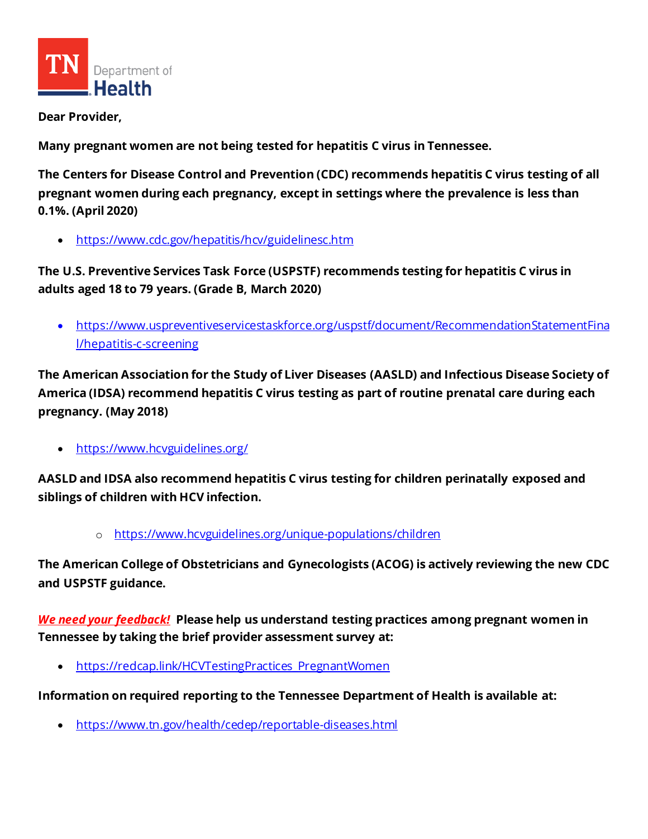

**Dear Provider,**

**Many pregnant women are not being tested for hepatitis C virus in Tennessee.**

**The Centers for Disease Control and Prevention (CDC) recommends hepatitis C virus testing of all pregnant women during each pregnancy, except in settings where the prevalence is less than 0.1%. (April 2020)**

• <https://www.cdc.gov/hepatitis/hcv/guidelinesc.htm>

**The U.S. Preventive Services Task Force (USPSTF) recommends testing for hepatitis C virus in adults aged 18 to 79 years. (Grade B, March 2020)**

• [https://www.uspreventiveservicestaskforce.org/uspstf/document/RecommendationStatementFina](https://www.uspreventiveservicestaskforce.org/uspstf/document/RecommendationStatementFinal/hepatitis-c-screening) [l/hepatitis-c-screening](https://www.uspreventiveservicestaskforce.org/uspstf/document/RecommendationStatementFinal/hepatitis-c-screening)

**The American Association for the Study of Liver Diseases (AASLD) and Infectious Disease Society of America (IDSA) recommend hepatitis C virus testing as part of routine prenatal care during each pregnancy. (May 2018)**

• <https://www.hcvguidelines.org/>

**AASLD and IDSA also recommend hepatitis C virus testing for children perinatally exposed and siblings of children with HCV infection.**

o <https://www.hcvguidelines.org/unique-populations/children>

**The American College of Obstetricians and Gynecologists (ACOG) is actively reviewing the new CDC and USPSTF guidance.** 

*We need your feedback!* **Please help us understand testing practices among pregnant women in Tennessee by taking the brief provider assessment survey at:** 

[https://redcap.link/HCVTestingPractices\\_PregnantWomen](https://redcap.link/HCVTestingPractices_PregnantWomen)

**Information on required reporting to the Tennessee Department of Health is available at:** 

• <https://www.tn.gov/health/cedep/reportable-diseases.html>